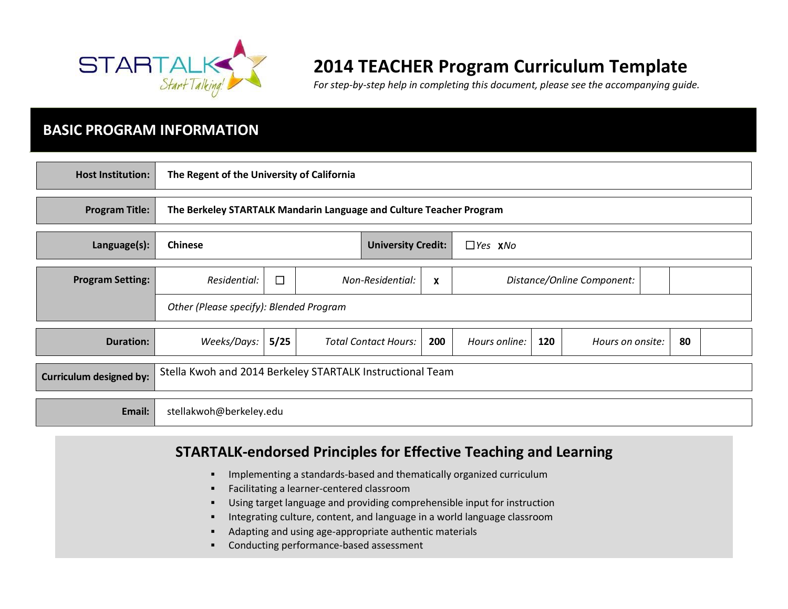

# **2014 TEACHER Program Curriculum Template**

*For step-by-step help in completing this document, please see the accompanying guide.* 

### **BASIC PROGRAM INFORMATION**

| <b>Host Institution:</b> | The Regent of the University of California                    |                                                                     |                                               |                             |     |                            |     |                  |  |    |  |
|--------------------------|---------------------------------------------------------------|---------------------------------------------------------------------|-----------------------------------------------|-----------------------------|-----|----------------------------|-----|------------------|--|----|--|
| <b>Program Title:</b>    |                                                               | The Berkeley STARTALK Mandarin Language and Culture Teacher Program |                                               |                             |     |                            |     |                  |  |    |  |
| Language(s):             | <b>Chinese</b><br><b>University Credit:</b><br>$\Box$ Yes XNo |                                                                     |                                               |                             |     |                            |     |                  |  |    |  |
| <b>Program Setting:</b>  | Residential:                                                  | $\Box$                                                              | Non-Residential:<br>$\boldsymbol{\mathsf{x}}$ |                             |     | Distance/Online Component: |     |                  |  |    |  |
|                          | Other (Please specify): Blended Program                       |                                                                     |                                               |                             |     |                            |     |                  |  |    |  |
| <b>Duration:</b>         | Weeks/Days:                                                   | 5/25                                                                |                                               | <b>Total Contact Hours:</b> | 200 | Hours online:              | 120 | Hours on onsite: |  | 80 |  |
| Curriculum designed by:  | Stella Kwoh and 2014 Berkeley STARTALK Instructional Team     |                                                                     |                                               |                             |     |                            |     |                  |  |    |  |
| Email:                   | stellakwoh@berkeley.edu                                       |                                                                     |                                               |                             |     |                            |     |                  |  |    |  |

## **STARTALK-endorsed Principles for Effective Teaching and Learning**

- **IMPLEMENTED ATTES INTERFEDED FIRTH** Implementing a standards-based and thematically organized curriculum
- **Facilitating a learner-centered classroom**
- Using target language and providing comprehensible input for instruction
- Integrating culture, content, and language in a world language classroom
- Adapting and using age-appropriate authentic materials
- Conducting performance-based assessment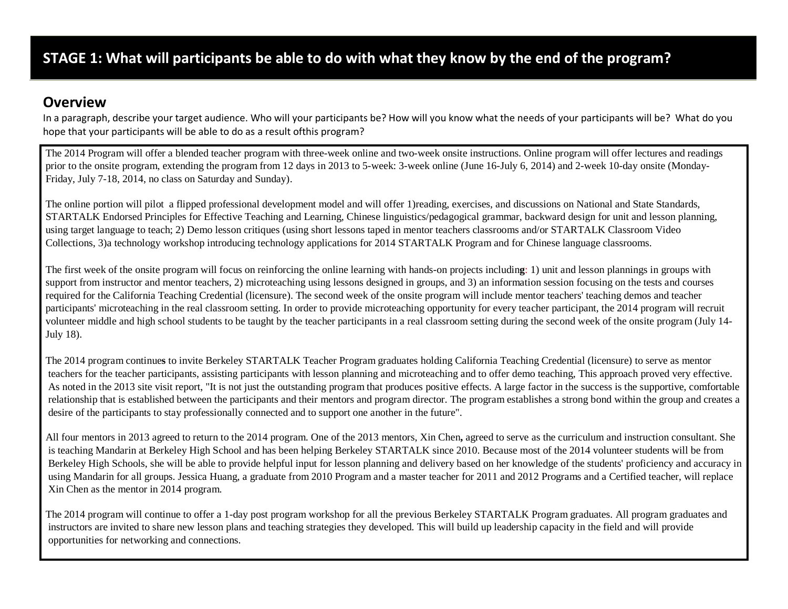### **Overview**

In a paragraph, describe your target audience. Who will your participants be? How will you know what the needs of your participants will be? What do you hope that your participants will be able to do as a result ofthis program?

The 2014 Program will offer a blended teacher program with three-week online and two-week onsite instructions. Online program will offer lectures and readings prior to the onsite program, extending the program from 12 days in 2013 to 5-week: 3-week online (June 16-July 6, 2014) and 2-week 10-day onsite (Monday-Friday, July 7-18, 2014, no class on Saturday and Sunday).

The online portion will pilot a flipped professional development model and will offer 1)reading, exercises, and discussions on National and State Standards, STARTALK Endorsed Principles for Effective Teaching and Learning, Chinese linguistics/pedagogical grammar, backward design for unit and lesson planning, using target language to teach; 2) Demo lesson critiques (using short lessons taped in mentor teachers classrooms and/or STARTALK Classroom Video Collections, 3)a technology workshop introducing technology applications for 2014 STARTALK Program and for Chinese language classrooms.

The first week of the onsite program will focus on reinforcing the online learning with hands-on projects includin**g**: 1) unit and lesson plannings in groups with support from instructor and mentor teachers, 2) microteaching using lessons designed in groups, and 3) an information session focusing on the tests and courses required for the California Teaching Credential (licensure). The second week of the onsite program will include mentor teachers' teaching demos and teacher participants' microteaching in the real classroom setting. In order to provide microteaching opportunity for every teacher participant, the 2014 program will recruit volunteer middle and high school students to be taught by the teacher participants in a real classroom setting during the second week of the onsite program (July 14- July 18).

The 2014 program continue**s** to invite Berkeley STARTALK Teacher Program graduates holding California Teaching Credential (licensure) to serve as mentor teachers for the teacher participants, assisting participants with lesson planning and microteaching and to offer demo teaching, This approach proved very effective. As noted in the 2013 site visit report, "It is not just the outstanding program that produces positive effects. A large factor in the success is the supportive, comfortable relationship that is established between the participants and their mentors and program director. The program establishes a strong bond within the group and creates a desire of the participants to stay professionally connected and to support one another in the future".

All four mentors in 2013 agreed to return to the 2014 program. One of the 2013 mentors, Xin Chen**,** agreed to serve as the curriculum and instruction consultant. She is teaching Mandarin at Berkeley High School and has been helping Berkeley STARTALK since 2010. Because most of the 2014 volunteer students will be from Berkeley High Schools, she will be able to provide helpful input for lesson planning and delivery based on her knowledge of the students' proficiency and accuracy in using Mandarin for all groups. Jessica Huang, a graduate from 2010 Program and a master teacher for 2011 and 2012 Programs and a Certified teacher, will replace Xin Chen as the mentor in 2014 program.

The 2014 program will continue to offer a 1-day post program workshop for all the previous Berkeley STARTALK Program graduates. All program graduates and instructors are invited to share new lesson plans and teaching strategies they developed. This will build up leadership capacity in the field and will provide opportunities for networking and connections.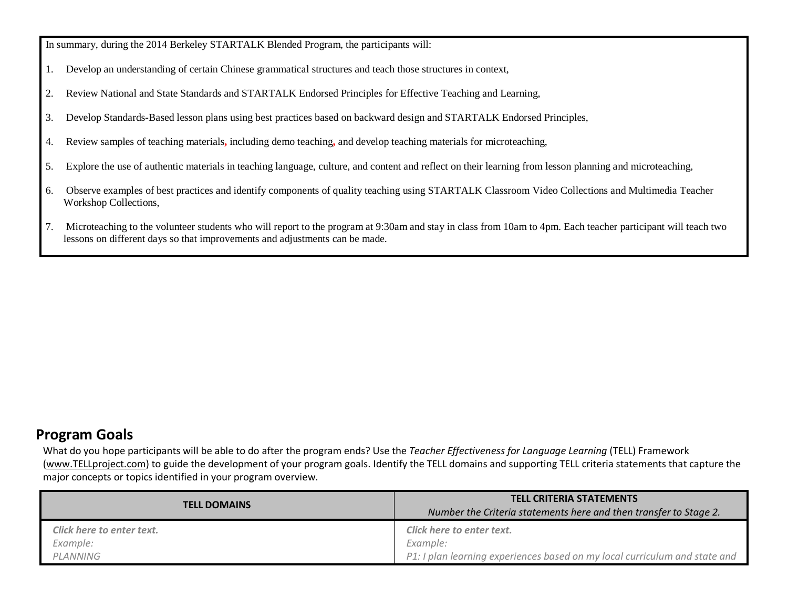In summary, during the 2014 Berkeley STARTALK Blended Program, the participants will:

- 1. Develop an understanding of certain Chinese grammatical structures and teach those structures in context,
- 2. Review National and State Standards and STARTALK Endorsed Principles for Effective Teaching and Learning,
- 3. Develop Standards-Based lesson plans using best practices based on backward design and STARTALK Endorsed Principles,
- 4. Review samples of teaching materials**,** including demo teaching**,** and develop teaching materials for microteaching,
- 5. Explore the use of authentic materials in teaching language, culture, and content and reflect on their learning from lesson planning and microteaching,
- 6. Observe examples of best practices and identify components of quality teaching using STARTALK Classroom Video Collections and Multimedia Teacher Workshop Collections,
- 7. Microteaching to the volunteer students who will report to the program at 9:30am and stay in class from 10am to 4pm. Each teacher participant will teach two lessons on different days so that improvements and adjustments can be made.

### **Program Goals**

What do you hope participants will be able to do after the program ends? Use the *Teacher Effectiveness for Language Learning* (TELL) Framework [\(www.TELLproject.com\)](http://www.tellproject.com/) to guide the development of your program goals. Identify the TELL domains and supporting TELL criteria statements that capture the major concepts or topics identified in your program overview.

| <b>TELL DOMAINS</b>       | <b>TELL CRITERIA STATEMENTS</b><br>Number the Criteria statements here and then transfer to Stage 2. |  |  |  |
|---------------------------|------------------------------------------------------------------------------------------------------|--|--|--|
| Click here to enter text. | Click here to enter text.                                                                            |  |  |  |
| Example:                  | Example:                                                                                             |  |  |  |
| PLANNING                  | P1: I plan learning experiences based on my local curriculum and state and                           |  |  |  |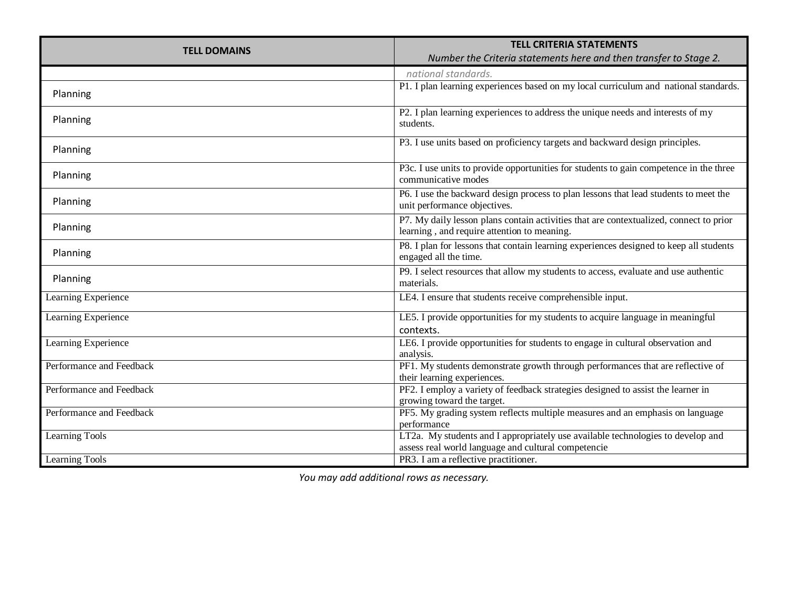| <b>TELL DOMAINS</b>      | <b>TELL CRITERIA STATEMENTS</b>                                                                                 |  |  |  |
|--------------------------|-----------------------------------------------------------------------------------------------------------------|--|--|--|
|                          | Number the Criteria statements here and then transfer to Stage 2.                                               |  |  |  |
|                          | national standards.                                                                                             |  |  |  |
|                          | P1. I plan learning experiences based on my local curriculum and national standards.                            |  |  |  |
| Planning                 |                                                                                                                 |  |  |  |
| Planning                 | P2. I plan learning experiences to address the unique needs and interests of my                                 |  |  |  |
|                          | students.                                                                                                       |  |  |  |
|                          | P3. I use units based on proficiency targets and backward design principles.                                    |  |  |  |
| Planning                 |                                                                                                                 |  |  |  |
| Planning                 | P3c. I use units to provide opportunities for students to gain competence in the three                          |  |  |  |
|                          | communicative modes                                                                                             |  |  |  |
| Planning                 | P6. I use the backward design process to plan lessons that lead students to meet the                            |  |  |  |
|                          | unit performance objectives.                                                                                    |  |  |  |
| Planning                 | P7. My daily lesson plans contain activities that are contextualized, connect to prior                          |  |  |  |
|                          | learning, and require attention to meaning.                                                                     |  |  |  |
| Planning                 | P8. I plan for lessons that contain learning experiences designed to keep all students<br>engaged all the time. |  |  |  |
|                          |                                                                                                                 |  |  |  |
| Planning                 | P9. I select resources that allow my students to access, evaluate and use authentic<br>materials.               |  |  |  |
| Learning Experience      | LE4. I ensure that students receive comprehensible input.                                                       |  |  |  |
|                          |                                                                                                                 |  |  |  |
| Learning Experience      | LE5. I provide opportunities for my students to acquire language in meaningful                                  |  |  |  |
|                          | contexts.                                                                                                       |  |  |  |
| Learning Experience      | LE6. I provide opportunities for students to engage in cultural observation and                                 |  |  |  |
|                          | analysis.                                                                                                       |  |  |  |
| Performance and Feedback | PF1. My students demonstrate growth through performances that are reflective of<br>their learning experiences.  |  |  |  |
| Performance and Feedback | PF2. I employ a variety of feedback strategies designed to assist the learner in                                |  |  |  |
|                          | growing toward the target.                                                                                      |  |  |  |
| Performance and Feedback | PF5. My grading system reflects multiple measures and an emphasis on language                                   |  |  |  |
|                          | performance                                                                                                     |  |  |  |
| <b>Learning Tools</b>    | LT2a. My students and I appropriately use available technologies to develop and                                 |  |  |  |
|                          | assess real world language and cultural competencie                                                             |  |  |  |
| Learning Tools           | PR3. I am a reflective practitioner.                                                                            |  |  |  |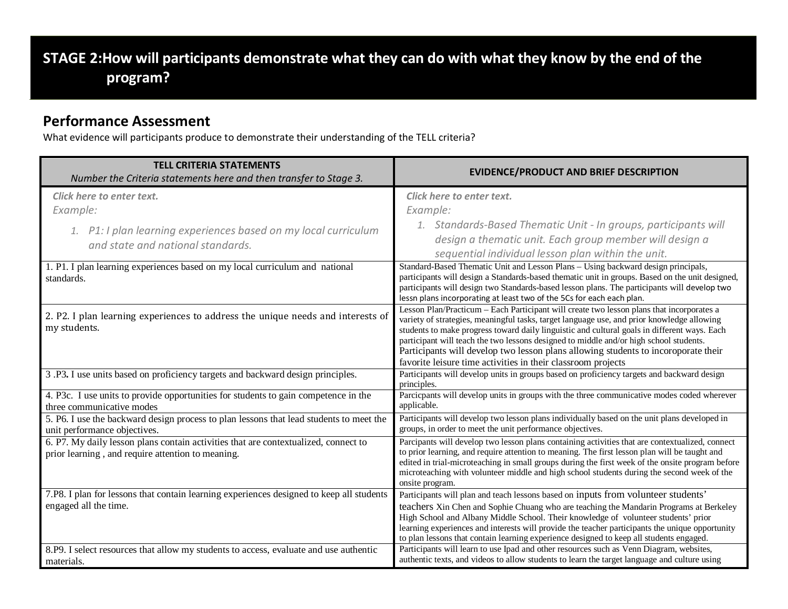# **STAGE 2:How will participants demonstrate what they can do with what they know by the end of the program?**

#### **Performance Assessment**

What evidence will participants produce to demonstrate their understanding of the TELL criteria?

| <b>TELL CRITERIA STATEMENTS</b><br>Number the Criteria statements here and then transfer to Stage 3.                                          | <b>EVIDENCE/PRODUCT AND BRIEF DESCRIPTION</b>                                                                                                                                                                                                                                                                                                                                                                                                                                                                                           |
|-----------------------------------------------------------------------------------------------------------------------------------------------|-----------------------------------------------------------------------------------------------------------------------------------------------------------------------------------------------------------------------------------------------------------------------------------------------------------------------------------------------------------------------------------------------------------------------------------------------------------------------------------------------------------------------------------------|
| Click here to enter text.<br>Example:<br>1. P1: I plan learning experiences based on my local curriculum<br>and state and national standards. | Click here to enter text.<br>Example:<br>1. Standards-Based Thematic Unit - In groups, participants will<br>design a thematic unit. Each group member will design a<br>sequential individual lesson plan within the unit.                                                                                                                                                                                                                                                                                                               |
| 1. P1. I plan learning experiences based on my local curriculum and national<br>standards.                                                    | Standard-Based Thematic Unit and Lesson Plans - Using backward design principals,<br>participants will design a Standards-based thematic unit in groups. Based on the unit designed,<br>participants will design two Standards-based lesson plans. The participants will develop two<br>lessn plans incorporating at least two of the 5Cs for each each plan.                                                                                                                                                                           |
| 2. P2. I plan learning experiences to address the unique needs and interests of<br>my students.                                               | Lesson Plan/Practicum – Each Participant will create two lesson plans that incorporates a<br>variety of strategies, meaningful tasks, target language use, and prior knowledge allowing<br>students to make progress toward daily linguistic and cultural goals in different ways. Each<br>participant will teach the two lessons designed to middle and/or high school students.<br>Participants will develop two lesson plans allowing students to incoroporate their<br>favorite leisure time activities in their classroom projects |
| 3.P3. I use units based on proficiency targets and backward design principles.                                                                | Participants will develop units in groups based on proficiency targets and backward design<br>principles.                                                                                                                                                                                                                                                                                                                                                                                                                               |
| 4. P3c. I use units to provide opportunities for students to gain competence in the<br>three communicative modes                              | Parcicpants will develop units in groups with the three communicative modes coded wherever<br>applicable.                                                                                                                                                                                                                                                                                                                                                                                                                               |
| 5. P6. I use the backward design process to plan lessons that lead students to meet the<br>unit performance objectives.                       | Participants will develop two lesson plans individually based on the unit plans developed in<br>groups, in order to meet the unit performance objectives.                                                                                                                                                                                                                                                                                                                                                                               |
| 6. P7. My daily lesson plans contain activities that are contextualized, connect to<br>prior learning, and require attention to meaning.      | Parcipants will develop two lesson plans containing activities that are contextualized, connect<br>to prior learning, and require attention to meaning. The first lesson plan will be taught and<br>edited in trial-microteaching in small groups during the first week of the onsite program before<br>microteaching with volunteer middle and high school students during the second week of the<br>onsite program.                                                                                                                   |
| 7.P8. I plan for lessons that contain learning experiences designed to keep all students<br>engaged all the time.                             | Participants will plan and teach lessons based on inputs from volunteer students'<br>teachers Xin Chen and Sophie Chuang who are teaching the Mandarin Programs at Berkeley<br>High School and Albany Middle School. Their knowledge of volunteer students' prior<br>learning experiences and interests will provide the teacher participants the unique opportunity<br>to plan lessons that contain learning experience designed to keep all students engaged.                                                                         |
| 8.P9. I select resources that allow my students to access, evaluate and use authentic<br>materials.                                           | Participants will learn to use Ipad and other resources such as Venn Diagram, websites,<br>authentic texts, and videos to allow students to learn the target language and culture using                                                                                                                                                                                                                                                                                                                                                 |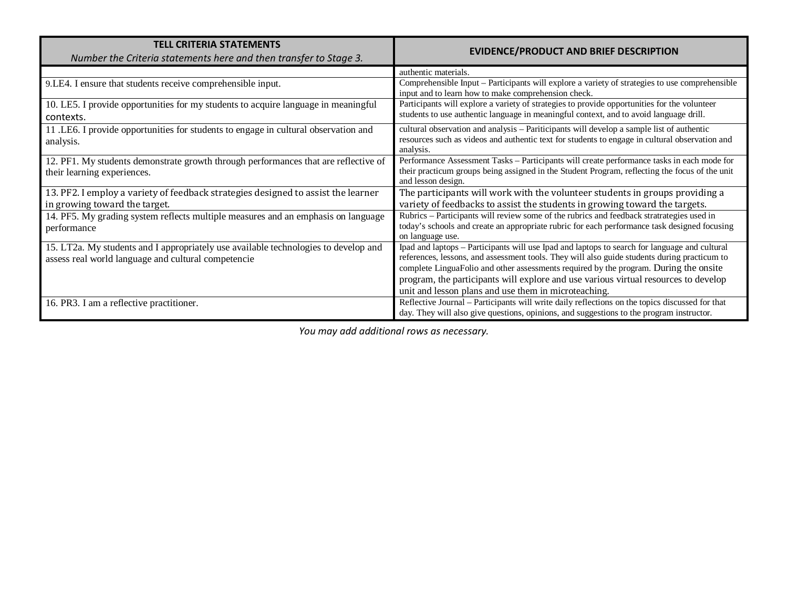| <b>TELL CRITERIA STATEMENTS</b><br>Number the Criteria statements here and then transfer to Stage 3.                                       | <b>EVIDENCE/PRODUCT AND BRIEF DESCRIPTION</b>                                                                                                                                                                                                                                                                                                                                                                                         |
|--------------------------------------------------------------------------------------------------------------------------------------------|---------------------------------------------------------------------------------------------------------------------------------------------------------------------------------------------------------------------------------------------------------------------------------------------------------------------------------------------------------------------------------------------------------------------------------------|
|                                                                                                                                            | authentic materials.                                                                                                                                                                                                                                                                                                                                                                                                                  |
| 9.LE4. I ensure that students receive comprehensible input.                                                                                | Comprehensible Input - Participants will explore a variety of strategies to use comprehensible<br>input and to learn how to make comprehension check.                                                                                                                                                                                                                                                                                 |
| 10. LE5. I provide opportunities for my students to acquire language in meaningful<br>contexts.                                            | Participants will explore a variety of strategies to provide opportunities for the volunteer<br>students to use authentic language in meaningful context, and to avoid language drill.                                                                                                                                                                                                                                                |
| 11 .LE6. I provide opportunities for students to engage in cultural observation and<br>analysis.                                           | cultural observation and analysis - Pariticipants will develop a sample list of authentic<br>resources such as videos and authentic text for students to engage in cultural observation and<br>analysis.                                                                                                                                                                                                                              |
| 12. PF1. My students demonstrate growth through performances that are reflective of<br>their learning experiences.                         | Performance Assessment Tasks - Participants will create performance tasks in each mode for<br>their practicum groups being assigned in the Student Program, reflecting the focus of the unit<br>and lesson design.                                                                                                                                                                                                                    |
| 13. PF2. I employ a variety of feedback strategies designed to assist the learner<br>in growing toward the target.                         | The participants will work with the volunteer students in groups providing a<br>variety of feedbacks to assist the students in growing toward the targets.                                                                                                                                                                                                                                                                            |
| 14. PF5. My grading system reflects multiple measures and an emphasis on language<br>performance                                           | Rubrics - Participants will review some of the rubrics and feedback stratrategies used in<br>today's schools and create an appropriate rubric for each performance task designed focusing<br>on language use.                                                                                                                                                                                                                         |
| 15. LT2a. My students and I appropriately use available technologies to develop and<br>assess real world language and cultural competencie | Ipad and laptops – Participants will use Ipad and laptops to search for language and cultural<br>references, lessons, and assessment tools. They will also guide students during practicum to<br>complete LinguaFolio and other assessments required by the program. During the onsite<br>program, the participants will explore and use various virtual resources to develop<br>unit and lesson plans and use them in microteaching. |
| 16. PR3. I am a reflective practitioner.                                                                                                   | Reflective Journal - Participants will write daily reflections on the topics discussed for that<br>day. They will also give questions, opinions, and suggestions to the program instructor.                                                                                                                                                                                                                                           |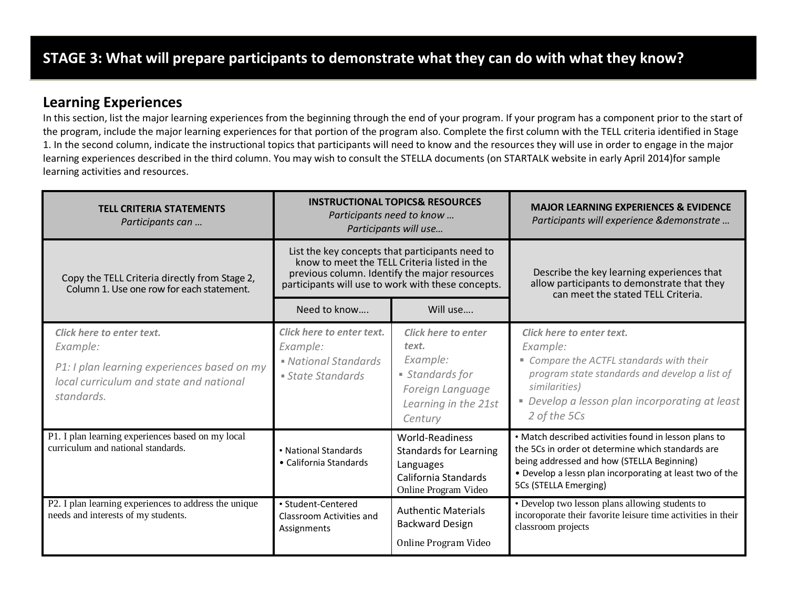### **Learning Experiences**

In this section, list the major learning experiences from the beginning through the end of your program. If your program has a component prior to the start of the program, include the major learning experiences for that portion of the program also. Complete the first column with the TELL criteria identified in Stage 1. In the second column, indicate the instructional topics that participants will need to know and the resources they will use in order to engage in the major learning experiences described in the third column. You may wish to consult the STELLA documents (on STARTALK website in early April 2014)for sample learning activities and resources.

| <b>TELL CRITERIA STATEMENTS</b><br>Participants can                                                  | <b>INSTRUCTIONAL TOPICS&amp; RESOURCES</b><br>Participants need to know<br>Participants will use |                                                                                                                                                                                                        | <b>MAJOR LEARNING EXPERIENCES &amp; EVIDENCE</b><br>Participants will experience & demonstrate                                                                                                                                                |  |
|------------------------------------------------------------------------------------------------------|--------------------------------------------------------------------------------------------------|--------------------------------------------------------------------------------------------------------------------------------------------------------------------------------------------------------|-----------------------------------------------------------------------------------------------------------------------------------------------------------------------------------------------------------------------------------------------|--|
| Copy the TELL Criteria directly from Stage 2,<br>Column 1. Use one row for each statement.           |                                                                                                  | List the key concepts that participants need to<br>know to meet the TELL Criteria listed in the<br>previous column. Identify the major resources<br>participants will use to work with these concepts. | Describe the key learning experiences that<br>allow participants to demonstrate that they<br>can meet the stated TELL Criteria.                                                                                                               |  |
|                                                                                                      | Need to know                                                                                     | Will use                                                                                                                                                                                               |                                                                                                                                                                                                                                               |  |
| Click here to enter text.<br>Example:                                                                | Click here to enter text.<br>Example:                                                            | Click here to enter<br>text.                                                                                                                                                                           | Click here to enter text.<br>Example:                                                                                                                                                                                                         |  |
| P1: I plan learning experiences based on my<br>local curriculum and state and national<br>standards. | • National Standards<br>• State Standards                                                        | Example:<br>• Standards for<br>Foreign Language<br>Learning in the 21st<br>Century                                                                                                                     | " Compare the ACTFL standards with their<br>program state standards and develop a list of<br>similarities)<br>• Develop a lesson plan incorporating at least<br>2 of the 5Cs                                                                  |  |
| P1. I plan learning experiences based on my local<br>curriculum and national standards.              | • National Standards<br>• California Standards                                                   | <b>World-Readiness</b><br><b>Standards for Learning</b><br>Languages<br>California Standards<br>Online Program Video                                                                                   | • Match described activities found in lesson plans to<br>the 5Cs in order ot determine which standards are<br>being addressed and how (STELLA Beginning)<br>• Develop a lessn plan incorporating at least two of the<br>5Cs (STELLA Emerging) |  |
| P2. I plan learning experiences to address the unique<br>needs and interests of my students.         | • Student-Centered<br>Classroom Activities and<br>Assignments                                    | <b>Authentic Materials</b><br><b>Backward Design</b><br>Online Program Video                                                                                                                           | • Develop two lesson plans allowing students to<br>incoroporate their favorite leisure time activities in their<br>classroom projects                                                                                                         |  |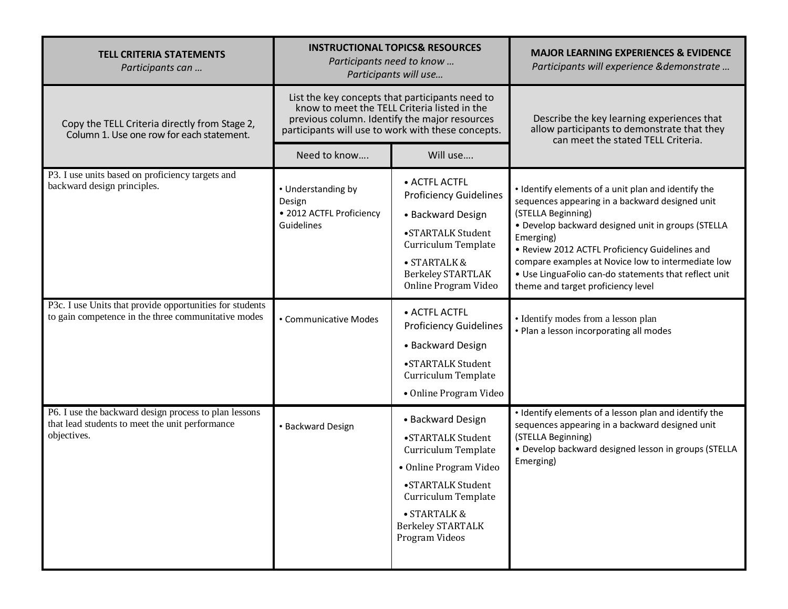| <b>TELL CRITERIA STATEMENTS</b><br>Participants can                                                                     | <b>INSTRUCTIONAL TOPICS&amp; RESOURCES</b><br>Participants need to know<br>Participants will use                                                                                                       |                                                                                                                                                                                                   | <b>MAJOR LEARNING EXPERIENCES &amp; EVIDENCE</b><br>Participants will experience & demonstrate                                                                                                                                                                                                                                                                                                         |  |
|-------------------------------------------------------------------------------------------------------------------------|--------------------------------------------------------------------------------------------------------------------------------------------------------------------------------------------------------|---------------------------------------------------------------------------------------------------------------------------------------------------------------------------------------------------|--------------------------------------------------------------------------------------------------------------------------------------------------------------------------------------------------------------------------------------------------------------------------------------------------------------------------------------------------------------------------------------------------------|--|
| Copy the TELL Criteria directly from Stage 2,<br>Column 1. Use one row for each statement.                              | List the key concepts that participants need to<br>know to meet the TELL Criteria listed in the<br>previous column. Identify the major resources<br>participants will use to work with these concepts. |                                                                                                                                                                                                   | Describe the key learning experiences that<br>allow participants to demonstrate that they<br>can meet the stated TELL Criteria.                                                                                                                                                                                                                                                                        |  |
|                                                                                                                         | Need to know                                                                                                                                                                                           | Will use                                                                                                                                                                                          |                                                                                                                                                                                                                                                                                                                                                                                                        |  |
| P3. I use units based on proficiency targets and<br>backward design principles.                                         | • Understanding by<br>Design<br>• 2012 ACTFL Proficiency<br>Guidelines                                                                                                                                 | • ACTFL ACTFL<br><b>Proficiency Guidelines</b><br>• Backward Design<br>•STARTALK Student<br>Curriculum Template<br>· STARTALK &<br><b>Berkeley STARTLAK</b><br>Online Program Video               | • Identify elements of a unit plan and identify the<br>sequences appearing in a backward designed unit<br>(STELLA Beginning)<br>• Develop backward designed unit in groups (STELLA<br>Emerging)<br>• Review 2012 ACTFL Proficiency Guidelines and<br>compare examples at Novice low to intermediate low<br>. Use LinguaFolio can-do statements that reflect unit<br>theme and target proficiency level |  |
| P3c. I use Units that provide opportunities for students<br>to gain competence in the three communitative modes         | • Communicative Modes                                                                                                                                                                                  | • ACTFL ACTFL<br><b>Proficiency Guidelines</b><br>• Backward Design<br>•STARTALK Student<br>Curriculum Template<br>• Online Program Video                                                         | • Identify modes from a lesson plan<br>• Plan a lesson incorporating all modes                                                                                                                                                                                                                                                                                                                         |  |
| P6. I use the backward design process to plan lessons<br>that lead students to meet the unit performance<br>objectives. | • Backward Design                                                                                                                                                                                      | • Backward Design<br>•STARTALK Student<br>Curriculum Template<br>• Online Program Video<br>•STARTALK Student<br>Curriculum Template<br>· STARTALK &<br><b>Berkeley STARTALK</b><br>Program Videos | • Identify elements of a lesson plan and identify the<br>sequences appearing in a backward designed unit<br>(STELLA Beginning)<br>· Develop backward designed lesson in groups (STELLA<br>Emerging)                                                                                                                                                                                                    |  |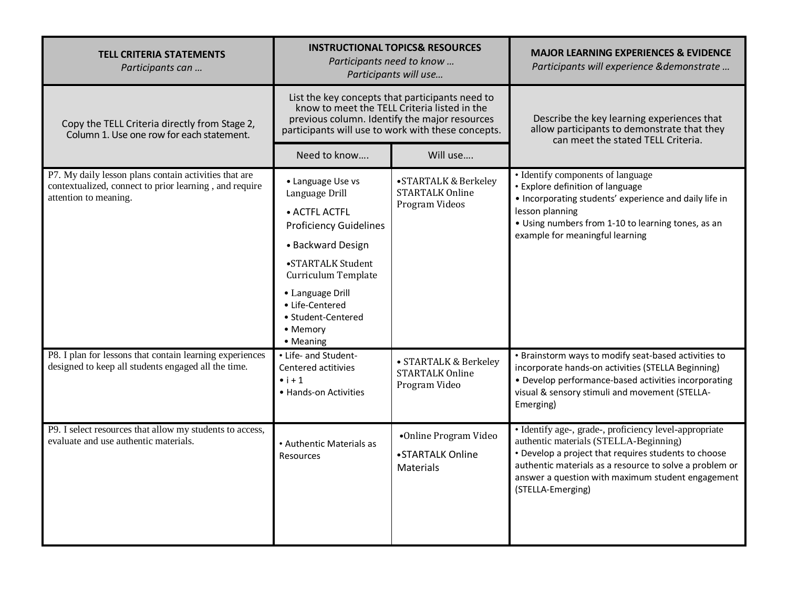| <b>TELL CRITERIA STATEMENTS</b><br>Participants can                                                                                      | <b>INSTRUCTIONAL TOPICS&amp; RESOURCES</b><br>Participants need to know<br>Participants will use                                                                                                                                             |                                                                   | <b>MAJOR LEARNING EXPERIENCES &amp; EVIDENCE</b><br>Participants will experience &demonstrate                                                                                                                                                                                                 |  |
|------------------------------------------------------------------------------------------------------------------------------------------|----------------------------------------------------------------------------------------------------------------------------------------------------------------------------------------------------------------------------------------------|-------------------------------------------------------------------|-----------------------------------------------------------------------------------------------------------------------------------------------------------------------------------------------------------------------------------------------------------------------------------------------|--|
| Copy the TELL Criteria directly from Stage 2,<br>Column 1. Use one row for each statement.                                               | List the key concepts that participants need to<br>know to meet the TELL Criteria listed in the<br>previous column. Identify the major resources<br>participants will use to work with these concepts.                                       |                                                                   | Describe the key learning experiences that<br>allow participants to demonstrate that they<br>can meet the stated TELL Criteria.                                                                                                                                                               |  |
|                                                                                                                                          | Need to know                                                                                                                                                                                                                                 | Will use                                                          |                                                                                                                                                                                                                                                                                               |  |
| P7. My daily lesson plans contain activities that are<br>contextualized, connect to prior learning, and require<br>attention to meaning. | • Language Use vs<br>Language Drill<br>• ACTFL ACTFL<br><b>Proficiency Guidelines</b><br>• Backward Design<br>•STARTALK Student<br>Curriculum Template<br>• Language Drill<br>• Life-Centered<br>• Student-Centered<br>• Memory<br>• Meaning | • STARTALK & Berkeley<br><b>STARTALK Online</b><br>Program Videos | • Identify components of language<br>• Explore definition of language<br>• Incorporating students' experience and daily life in<br>lesson planning<br>• Using numbers from 1-10 to learning tones, as an<br>example for meaningful learning                                                   |  |
| P8. I plan for lessons that contain learning experiences<br>designed to keep all students engaged all the time.                          | • Life- and Student-<br>Centered actitivies<br>$\bullet$ i + 1<br>• Hands-on Activities                                                                                                                                                      | · STARTALK & Berkeley<br><b>STARTALK Online</b><br>Program Video  | • Brainstorm ways to modify seat-based activities to<br>incorporate hands-on activities (STELLA Beginning)<br>• Develop performance-based activities incorporating<br>visual & sensory stimuli and movement (STELLA-<br>Emerging)                                                             |  |
| P9. I select resources that allow my students to access,<br>evaluate and use authentic materials.                                        | • Authentic Materials as<br>Resources                                                                                                                                                                                                        | •Online Program Video<br>•STARTALK Online<br><b>Materials</b>     | · Identify age-, grade-, proficiency level-appropriate<br>authentic materials (STELLA-Beginning)<br>• Develop a project that requires students to choose<br>authentic materials as a resource to solve a problem or<br>answer a question with maximum student engagement<br>(STELLA-Emerging) |  |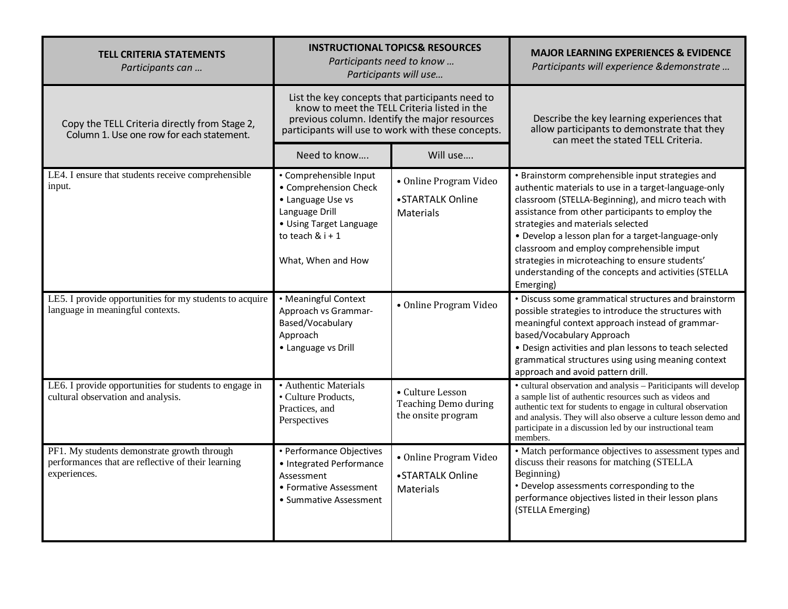| <b>TELL CRITERIA STATEMENTS</b><br>Participants can                                                               | <b>INSTRUCTIONAL TOPICS&amp; RESOURCES</b><br>Participants need to know<br>Participants will use                                                                                                       |                                                                | <b>MAJOR LEARNING EXPERIENCES &amp; EVIDENCE</b><br>Participants will experience &demonstrate                                                                                                                                                                                                                                                                                                                                                                                      |
|-------------------------------------------------------------------------------------------------------------------|--------------------------------------------------------------------------------------------------------------------------------------------------------------------------------------------------------|----------------------------------------------------------------|------------------------------------------------------------------------------------------------------------------------------------------------------------------------------------------------------------------------------------------------------------------------------------------------------------------------------------------------------------------------------------------------------------------------------------------------------------------------------------|
| Copy the TELL Criteria directly from Stage 2,<br>Column 1. Use one row for each statement.                        | List the key concepts that participants need to<br>know to meet the TELL Criteria listed in the<br>previous column. Identify the major resources<br>participants will use to work with these concepts. |                                                                | Describe the key learning experiences that<br>allow participants to demonstrate that they<br>can meet the stated TELL Criteria.                                                                                                                                                                                                                                                                                                                                                    |
|                                                                                                                   | Need to know                                                                                                                                                                                           | Will use                                                       |                                                                                                                                                                                                                                                                                                                                                                                                                                                                                    |
| LE4. I ensure that students receive comprehensible<br>input.                                                      | • Comprehensible Input<br>• Comprehension Check<br>• Language Use vs<br>Language Drill<br>• Using Target Language<br>to teach $8$ i + 1<br>What, When and How                                          | • Online Program Video<br>•STARTALK Online<br><b>Materials</b> | • Brainstorm comprehensible input strategies and<br>authentic materials to use in a target-language-only<br>classroom (STELLA-Beginning), and micro teach with<br>assistance from other participants to employ the<br>strategies and materials selected<br>• Develop a lesson plan for a target-language-only<br>classroom and employ comprehensible imput<br>strategies in microteaching to ensure students'<br>understanding of the concepts and activities (STELLA<br>Emerging) |
| LE5. I provide opportunities for my students to acquire<br>language in meaningful contexts.                       | • Meaningful Context<br>Approach vs Grammar-<br>Based/Vocabulary<br>Approach<br>• Language vs Drill                                                                                                    | · Online Program Video                                         | • Discuss some grammatical structures and brainstorm<br>possible strategies to introduce the structures with<br>meaningful context approach instead of grammar-<br>based/Vocabulary Approach<br>• Design activities and plan lessons to teach selected<br>grammatical structures using using meaning context<br>approach and avoid pattern drill.                                                                                                                                  |
| LE6. I provide opportunities for students to engage in<br>cultural observation and analysis.                      | · Authentic Materials<br>• Culture Products,<br>Practices, and<br>Perspectives                                                                                                                         | • Culture Lesson<br>Teaching Demo during<br>the onsite program | • cultural observation and analysis - Pariticipants will develop<br>a sample list of authentic resources such as videos and<br>authentic text for students to engage in cultural observation<br>and analysis. They will also observe a culture lesson demo and<br>participate in a discussion led by our instructional team<br>members.                                                                                                                                            |
| PF1. My students demonstrate growth through<br>performances that are reflective of their learning<br>experiences. | • Performance Objectives<br>• Integrated Performance<br>Assessment<br>• Formative Assessment<br>• Summative Assessment                                                                                 | • Online Program Video<br>•STARTALK Online<br>Materials        | • Match performance objectives to assessment types and<br>discuss their reasons for matching (STELLA<br>Beginning)<br>• Develop assessments corresponding to the<br>performance objectives listed in their lesson plans<br>(STELLA Emerging)                                                                                                                                                                                                                                       |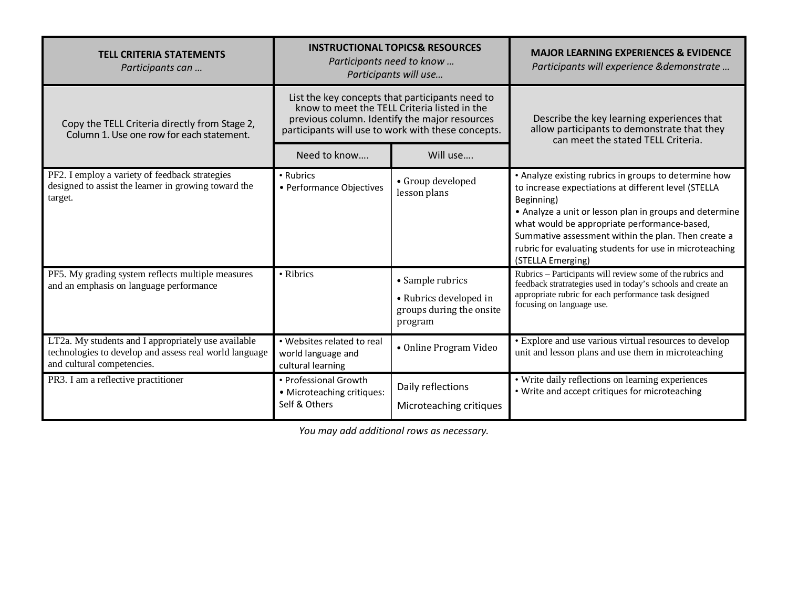| <b>TELL CRITERIA STATEMENTS</b><br>Participants can                                                                                         | <b>INSTRUCTIONAL TOPICS&amp; RESOURCES</b><br>Participants need to know<br>Participants will use                                                                                                       |                                                                                   | <b>MAJOR LEARNING EXPERIENCES &amp; EVIDENCE</b><br>Participants will experience & demonstrate                                                                                                                                                                                                                                                                                |  |
|---------------------------------------------------------------------------------------------------------------------------------------------|--------------------------------------------------------------------------------------------------------------------------------------------------------------------------------------------------------|-----------------------------------------------------------------------------------|-------------------------------------------------------------------------------------------------------------------------------------------------------------------------------------------------------------------------------------------------------------------------------------------------------------------------------------------------------------------------------|--|
| Copy the TELL Criteria directly from Stage 2,<br>Column 1. Use one row for each statement.                                                  | List the key concepts that participants need to<br>know to meet the TELL Criteria listed in the<br>previous column. Identify the major resources<br>participants will use to work with these concepts. |                                                                                   | Describe the key learning experiences that<br>allow participants to demonstrate that they<br>can meet the stated TELL Criteria.                                                                                                                                                                                                                                               |  |
|                                                                                                                                             | Need to know                                                                                                                                                                                           | Will use                                                                          |                                                                                                                                                                                                                                                                                                                                                                               |  |
| PF2. I employ a variety of feedback strategies<br>designed to assist the learner in growing toward the<br>target.                           | • Rubrics<br>• Performance Objectives                                                                                                                                                                  | • Group developed<br>lesson plans                                                 | • Analyze existing rubrics in groups to determine how<br>to increase expectiations at different level (STELLA<br>Beginning)<br>• Analyze a unit or lesson plan in groups and determine<br>what would be appropriate performance-based,<br>Summative assessment within the plan. Then create a<br>rubric for evaluating students for use in microteaching<br>(STELLA Emerging) |  |
| PF5. My grading system reflects multiple measures<br>and an emphasis on language performance                                                | • Ribrics                                                                                                                                                                                              | • Sample rubrics<br>• Rubrics developed in<br>groups during the onsite<br>program | Rubrics - Participants will review some of the rubrics and<br>feedback stratrategies used in today's schools and create an<br>appropriate rubric for each performance task designed<br>focusing on language use.                                                                                                                                                              |  |
| LT2a. My students and I appropriately use available<br>technologies to develop and assess real world language<br>and cultural competencies. | • Websites related to real<br>world language and<br>cultural learning                                                                                                                                  | • Online Program Video                                                            | • Explore and use various virtual resources to develop<br>unit and lesson plans and use them in microteaching                                                                                                                                                                                                                                                                 |  |
| PR3. I am a reflective practitioner                                                                                                         | • Professional Growth<br>• Microteaching critiques:<br>Self & Others                                                                                                                                   | Daily reflections<br>Microteaching critiques                                      | • Write daily reflections on learning experiences<br>• Write and accept critiques for microteaching                                                                                                                                                                                                                                                                           |  |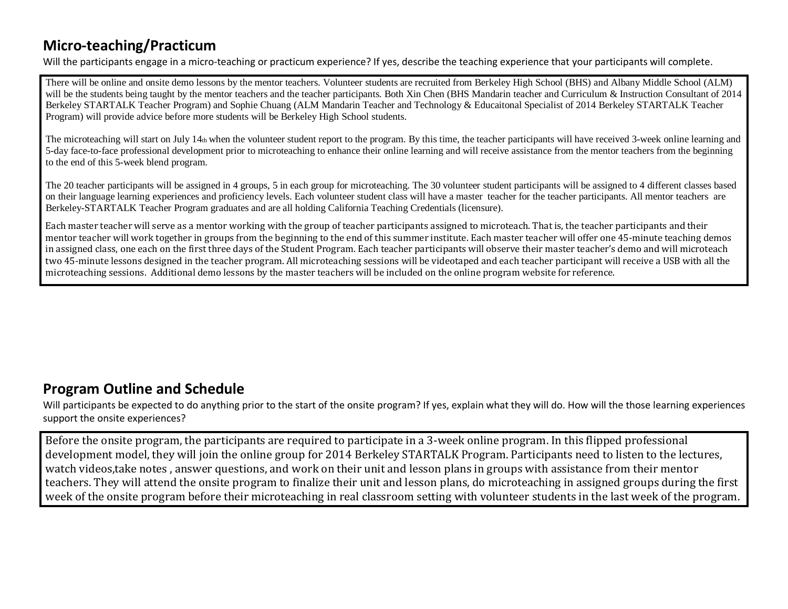## **Micro-teaching/Practicum**

Will the participants engage in a micro-teaching or practicum experience? If yes, describe the teaching experience that your participants will complete.

There will be online and onsite demo lessons by the mentor teachers. Volunteer students are recruited from Berkeley High School (BHS) and Albany Middle School (ALM) will be the students being taught by the mentor teachers and the teacher participants. Both Xin Chen (BHS Mandarin teacher and Curriculum & Instruction Consultant of 2014 Berkeley STARTALK Teacher Program) and Sophie Chuang (ALM Mandarin Teacher and Technology & Educaitonal Specialist of 2014 Berkeley STARTALK Teacher Program) will provide advice before more students will be Berkeley High School students.

The microteaching will start on July 14th when the volunteer student report to the program. By this time, the teacher participants will have received 3-week online learning and 5-day face-to-face professional development prior to microteaching to enhance their online learning and will receive assistance from the mentor teachers from the beginning to the end of this 5-week blend program.

The 20 teacher participants will be assigned in 4 groups, 5 in each group for microteaching. The 30 volunteer student participants will be assigned to 4 different classes based on their language learning experiences and proficiency levels. Each volunteer student class will have a master teacher for the teacher participants. All mentor teachers are Berkeley-STARTALK Teacher Program graduates and are all holding California Teaching Credentials (licensure).

Each master teacher will serve as a mentor working with the group of teacher participants assigned to microteach. That is, the teacher participants and their mentor teacher will work together in groups from the beginning to the end of this summer institute. Each master teacher will offer one 45-minute teaching demos in assigned class, one each on the first three days of the Student Program. Each teacher participants will observe their master teacher's demo and will microteach two 45-minute lessons designed in the teacher program. All microteaching sessions will be videotaped and each teacher participant will receive a USB with all the microteaching sessions. Additional demo lessons by the master teachers will be included on the online program website for reference.

### **Program Outline and Schedule**

Will participants be expected to do anything prior to the start of the onsite program? If yes, explain what they will do. How will the those learning experiences support the onsite experiences?

Before the onsite program, the participants are required to participate in a 3-week online program. In this flipped professional development model, they will join the online group for 2014 Berkeley STARTALK Program. Participants need to listen to the lectures, watch videos,take notes , answer questions, and work on their unit and lesson plans in groups with assistance from their mentor teachers. They will attend the onsite program to finalize their unit and lesson plans, do microteaching in assigned groups during the first week of the onsite program before their microteaching in real classroom setting with volunteer students in the last week of the program.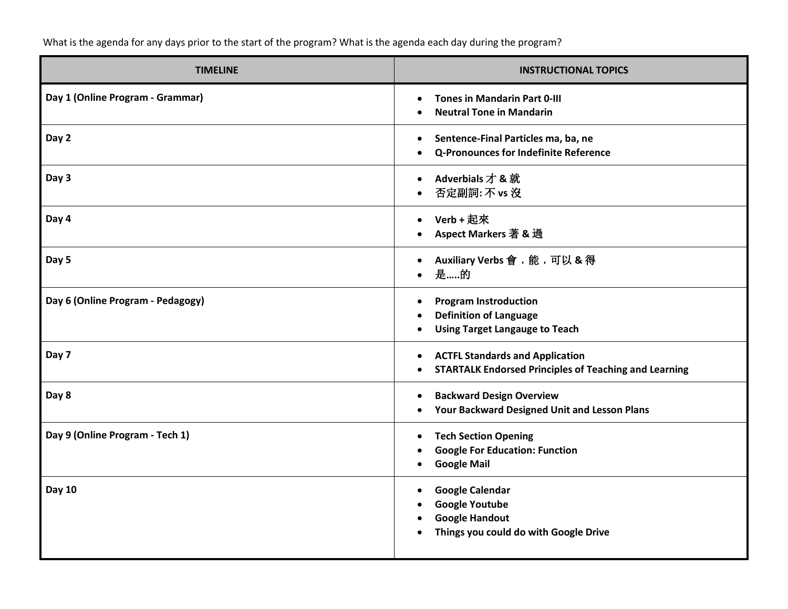What is the agenda for any days prior to the start of the program? What is the agenda each day during the program?

| <b>TIMELINE</b>                   | <b>INSTRUCTIONAL TOPICS</b>                                                                                       |
|-----------------------------------|-------------------------------------------------------------------------------------------------------------------|
| Day 1 (Online Program - Grammar)  | <b>Tones in Mandarin Part 0-III</b><br><b>Neutral Tone in Mandarin</b>                                            |
| Day 2                             | Sentence-Final Particles ma, ba, ne<br>Q-Pronounces for Indefinite Reference                                      |
| Day 3                             | Adverbials 才 & 就<br>否定副詞: 不 vs 沒                                                                                  |
| Day 4                             | Verb + 起來<br>Aspect Markers 著 & 過                                                                                 |
| Day 5                             | Auxiliary Verbs 會,能,可以 & 得<br>是的                                                                                  |
| Day 6 (Online Program - Pedagogy) | <b>Program Instroduction</b><br><b>Definition of Language</b><br><b>Using Target Langauge to Teach</b>            |
| Day 7                             | <b>ACTFL Standards and Application</b><br><b>STARTALK Endorsed Principles of Teaching and Learning</b>            |
| Day 8                             | <b>Backward Design Overview</b><br>Your Backward Designed Unit and Lesson Plans                                   |
| Day 9 (Online Program - Tech 1)   | <b>Tech Section Opening</b><br>$\bullet$<br><b>Google For Education: Function</b><br><b>Google Mail</b>           |
| <b>Day 10</b>                     | <b>Google Calendar</b><br><b>Google Youtube</b><br><b>Google Handout</b><br>Things you could do with Google Drive |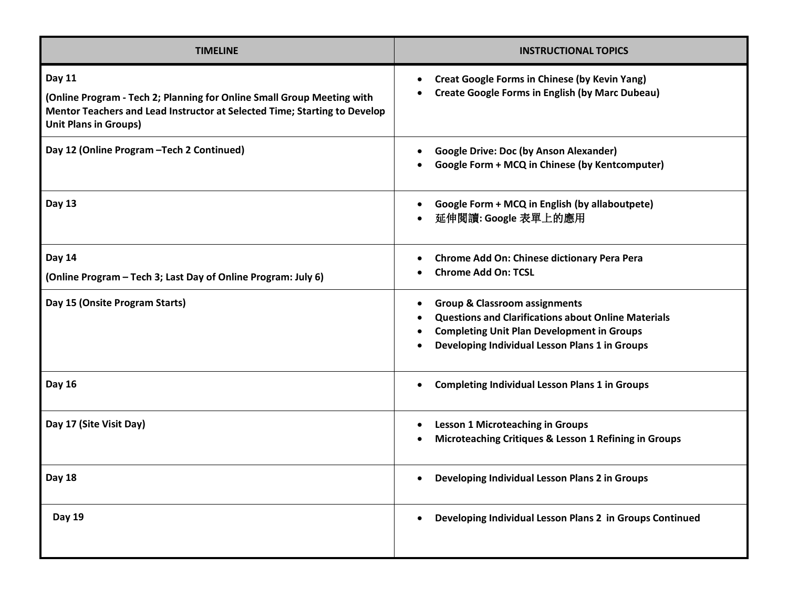| <b>TIMELINE</b>                                                                                                                                                                               | <b>INSTRUCTIONAL TOPICS</b>                                                                                                                                                                                   |
|-----------------------------------------------------------------------------------------------------------------------------------------------------------------------------------------------|---------------------------------------------------------------------------------------------------------------------------------------------------------------------------------------------------------------|
| Day 11<br>(Online Program - Tech 2; Planning for Online Small Group Meeting with<br>Mentor Teachers and Lead Instructor at Selected Time; Starting to Develop<br><b>Unit Plans in Groups)</b> | <b>Creat Google Forms in Chinese (by Kevin Yang)</b><br><b>Create Google Forms in English (by Marc Dubeau)</b>                                                                                                |
| Day 12 (Online Program - Tech 2 Continued)                                                                                                                                                    | <b>Google Drive: Doc (by Anson Alexander)</b><br>Google Form + MCQ in Chinese (by Kentcomputer)                                                                                                               |
| Day 13                                                                                                                                                                                        | Google Form + MCQ in English (by allaboutpete)<br>延伸閱讀: Google 表單上的應用                                                                                                                                         |
| <b>Day 14</b><br>(Online Program - Tech 3; Last Day of Online Program: July 6)                                                                                                                | <b>Chrome Add On: Chinese dictionary Pera Pera</b><br><b>Chrome Add On: TCSL</b>                                                                                                                              |
| Day 15 (Onsite Program Starts)                                                                                                                                                                | <b>Group &amp; Classroom assignments</b><br><b>Questions and Clarifications about Online Materials</b><br><b>Completing Unit Plan Development in Groups</b><br>Developing Individual Lesson Plans 1 in Groups |
| Day 16                                                                                                                                                                                        | <b>Completing Individual Lesson Plans 1 in Groups</b>                                                                                                                                                         |
| Day 17 (Site Visit Day)                                                                                                                                                                       | <b>Lesson 1 Microteaching in Groups</b><br>Microteaching Critiques & Lesson 1 Refining in Groups                                                                                                              |
| <b>Day 18</b>                                                                                                                                                                                 | Developing Individual Lesson Plans 2 in Groups                                                                                                                                                                |
| <b>Day 19</b>                                                                                                                                                                                 | Developing Individual Lesson Plans 2 in Groups Continued                                                                                                                                                      |